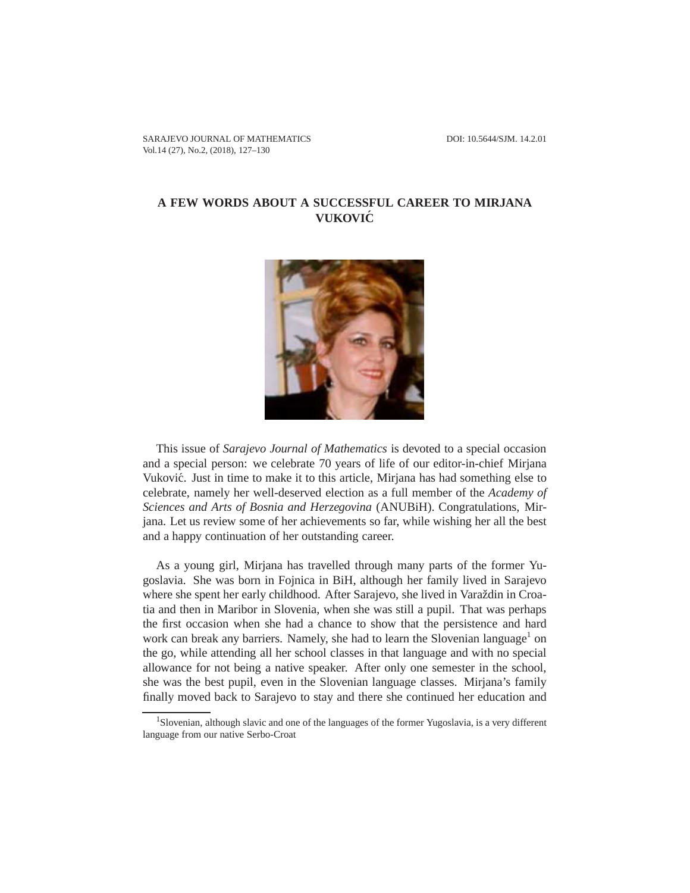## **A FEW WORDS ABOUT A SUCCESSFUL CAREER TO MIRJANA VUKOVIC´**



This issue of *Sarajevo Journal of Mathematics* is devoted to a special occasion and a special person: we celebrate 70 years of life of our editor-in-chief Mirjana Vuković. Just in time to make it to this article, Mirjana has had something else to celebrate, namely her well-deserved election as a full member of the *Academy of Sciences and Arts of Bosnia and Herzegovina* (ANUBiH). Congratulations, Mirjana. Let us review some of her achievements so far, while wishing her all the best and a happy continuation of her outstanding career.

As a young girl, Mirjana has travelled through many parts of the former Yugoslavia. She was born in Fojnica in BiH, although her family lived in Sarajevo where she spent her early childhood. After Sarajevo, she lived in Varaždin in Croatia and then in Maribor in Slovenia, when she was still a pupil. That was perhaps the first occasion when she had a chance to show that the persistence and hard work can break any barriers. Namely, she had to learn the Slovenian language<sup>1</sup> on the go, while attending all her school classes in that language and with no special allowance for not being a native speaker. After only one semester in the school, she was the best pupil, even in the Slovenian language classes. Mirjana's family finally moved back to Sarajevo to stay and there she continued her education and

<sup>1</sup>Slovenian, although slavic and one of the languages of the former Yugoslavia, is a very different language from our native Serbo-Croat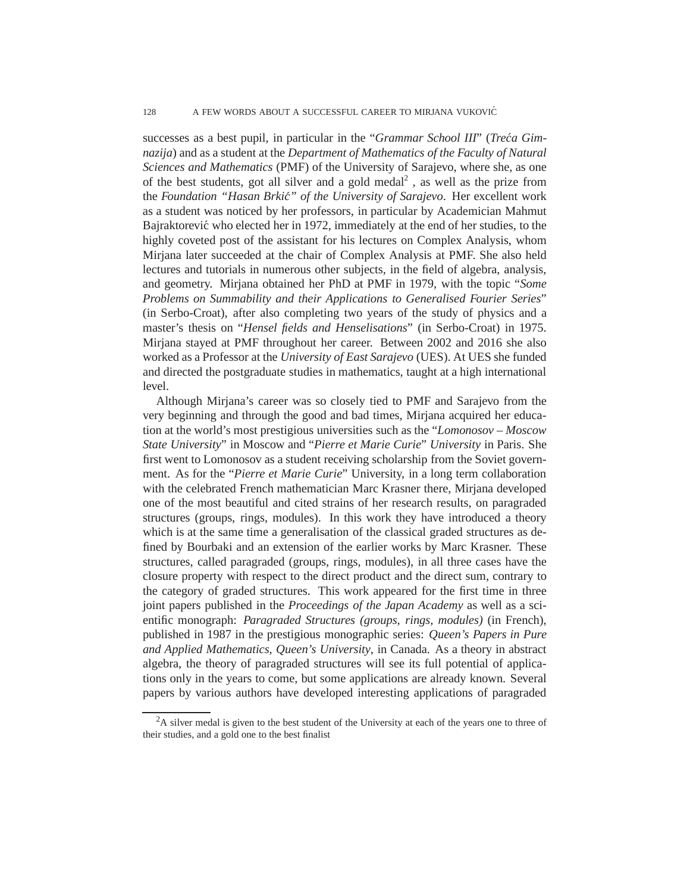successes as a best pupil, in particular in the "*Grammar School III*" (*Treca Gim- ´ nazija*) and as a student at the *Department of Mathematics of the Faculty of Natural Sciences and Mathematics* (PMF) of the University of Sarajevo, where she, as one of the best students, got all silver and a gold medal<sup>2</sup>, as well as the prize from the *Foundation "Hasan Brkic" of the University of Sarajevo ´* . Her excellent work as a student was noticed by her professors, in particular by Academician Mahmut Bajraktorević who elected her in 1972, immediately at the end of her studies, to the highly coveted post of the assistant for his lectures on Complex Analysis, whom Mirjana later succeeded at the chair of Complex Analysis at PMF. She also held lectures and tutorials in numerous other subjects, in the field of algebra, analysis, and geometry. Mirjana obtained her PhD at PMF in 1979, with the topic "*Some Problems on Summability and their Applications to Generalised Fourier Series*" (in Serbo-Croat), after also completing two years of the study of physics and a master's thesis on "*Hensel fields and Henselisations*" (in Serbo-Croat) in 1975. Mirjana stayed at PMF throughout her career. Between 2002 and 2016 she also worked as a Professor at the *University of East Sarajevo* (UES). At UES she funded and directed the postgraduate studies in mathematics, taught at a high international level.

Although Mirjana's career was so closely tied to PMF and Sarajevo from the very beginning and through the good and bad times, Mirjana acquired her education at the world's most prestigious universities such as the "*Lomonosov – Moscow State University*" in Moscow and "*Pierre et Marie Curie*" *University* in Paris. She first went to Lomonosov as a student receiving scholarship from the Soviet government. As for the "*Pierre et Marie Curie*" University, in a long term collaboration with the celebrated French mathematician Marc Krasner there, Mirjana developed one of the most beautiful and cited strains of her research results, on paragraded structures (groups, rings, modules). In this work they have introduced a theory which is at the same time a generalisation of the classical graded structures as defined by Bourbaki and an extension of the earlier works by Marc Krasner. These structures, called paragraded (groups, rings, modules), in all three cases have the closure property with respect to the direct product and the direct sum, contrary to the category of graded structures. This work appeared for the first time in three joint papers published in the *Proceedings of the Japan Academy* as well as a scientific monograph: *Paragraded Structures (groups, rings, modules)* (in French), published in 1987 in the prestigious monographic series: *Queen's Papers in Pure and Applied Mathematics, Queen's University*, in Canada. As a theory in abstract algebra, the theory of paragraded structures will see its full potential of applications only in the years to come, but some applications are already known. Several papers by various authors have developed interesting applications of paragraded

 ${}^{2}$ A silver medal is given to the best student of the University at each of the years one to three of their studies, and a gold one to the best finalist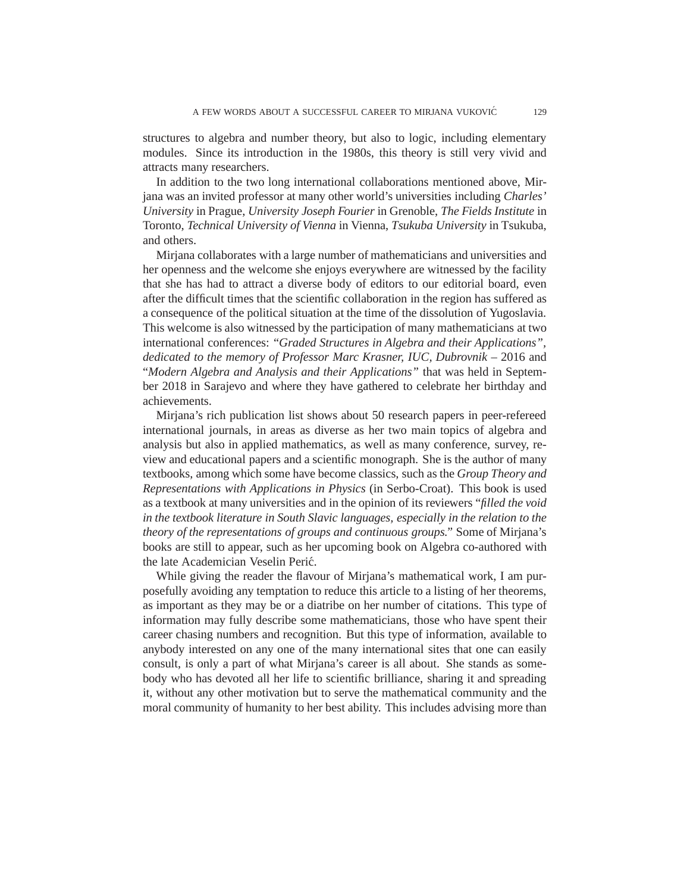structures to algebra and number theory, but also to logic, including elementary modules. Since its introduction in the 1980s, this theory is still very vivid and attracts many researchers.

In addition to the two long international collaborations mentioned above, Mirjana was an invited professor at many other world's universities including *Charles' University* in Prague, *University Joseph Fourier* in Grenoble, *The Fields Institute* in Toronto, *Technical University of Vienna* in Vienna, *Tsukuba University* in Tsukuba, and others.

Mirjana collaborates with a large number of mathematicians and universities and her openness and the welcome she enjoys everywhere are witnessed by the facility that she has had to attract a diverse body of editors to our editorial board, even after the difficult times that the scientific collaboration in the region has suffered as a consequence of the political situation at the time of the dissolution of Yugoslavia. This welcome is also witnessed by the participation of many mathematicians at two international conferences: "*Graded Structures in Algebra and their Applications", dedicated to the memory of Professor Marc Krasner, IUC, Dubrovnik* – 2016 and "*Modern Algebra and Analysis and their Applications"* that was held in September 2018 in Sarajevo and where they have gathered to celebrate her birthday and achievements.

Mirjana's rich publication list shows about 50 research papers in peer-refereed international journals, in areas as diverse as her two main topics of algebra and analysis but also in applied mathematics, as well as many conference, survey, review and educational papers and a scientific monograph. She is the author of many textbooks, among which some have become classics, such as the *Group Theory and Representations with Applications in Physics* (in Serbo-Croat). This book is used as a textbook at many universities and in the opinion of its reviewers "*filled the void in the textbook literature in South Slavic languages, especially in the relation to the theory of the representations of groups and continuous groups."* Some of Mirjana's books are still to appear, such as her upcoming book on Algebra co-authored with the late Academician Veselin Perić.

While giving the reader the flavour of Mirjana's mathematical work, I am purposefully avoiding any temptation to reduce this article to a listing of her theorems, as important as they may be or a diatribe on her number of citations. This type of information may fully describe some mathematicians, those who have spent their career chasing numbers and recognition. But this type of information, available to anybody interested on any one of the many international sites that one can easily consult, is only a part of what Mirjana's career is all about. She stands as somebody who has devoted all her life to scientific brilliance, sharing it and spreading it, without any other motivation but to serve the mathematical community and the moral community of humanity to her best ability. This includes advising more than